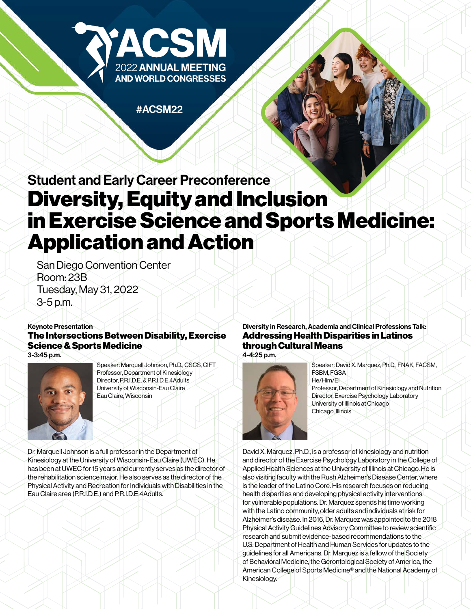

#ACSM22

# Student and Early Career Preconference Diversity, Equity and Inclusion in Exercise Science and Sports Medicine: Application and Action

San Diego Convention Center Room: 23B Tuesday, May 31, 2022 3-5 p.m.

#### Keynote Presentation

#### The Intersections Between Disability, Exercise Science & Sports Medicine 3-3:45 p.m.



Speaker: Marquell Johnson, Ph.D., CSCS, CIFT Professor, Department of Kinesiology Director, P.R.I.D.E. & P.R.I.D.E.4Adults University of Wisconsin-Eau Claire Eau Claire, Wisconsin

Dr. Marquell Johnson is a full professor in the Department of Kinesiology at the University of Wisconsin-Eau Claire (UWEC). He has been at UWEC for 15 years and currently serves as the director of the rehabilitation science major. He also serves as the director of the Physical Activity and Recreation for Individuals with Disabilities in the Eau Claire area (P.R.I.D.E.) and P.R.I.D.E.4Adults.

## Diversity in Research, Academia and Clinical Professions Talk: Addressing Health Disparities in Latinos through Cultural Means

4-4:25 p.m.



Speaker: David X. Marquez, Ph.D., FNAK, FACSM, FSBM, FGSA He/Him/El Professor, Department of Kinesiology and Nutrition Director, Exercise Psychology Laboratory University of Illinois at Chicago Chicago, Illinois

David X. Marquez, Ph.D., is a professor of kinesiology and nutrition and director of the Exercise Psychology Laboratory in the College of Applied Health Sciences at the University of Illinois at Chicago. He is also visiting faculty with the Rush Alzheimer's Disease Center, where is the leader of the Latino Core. His research focuses on reducing health disparities and developing physical activity interventions for vulnerable populations. Dr. Marquez spends his time working with the Latino community, older adults and individuals at risk for Alzheimer's disease. In 2016, Dr. Marquez was appointed to the 2018 Physical Activity Guidelines Advisory Committee to review scientific research and submit evidence-based recommendations to the U.S. Department of Health and Human Services for updates to the guidelines for all Americans. Dr. Marquez is a fellow of the Society of Behavioral Medicine, the Gerontological Society of America, the American College of Sports Medicine® and the National Academy of Kinesiology.